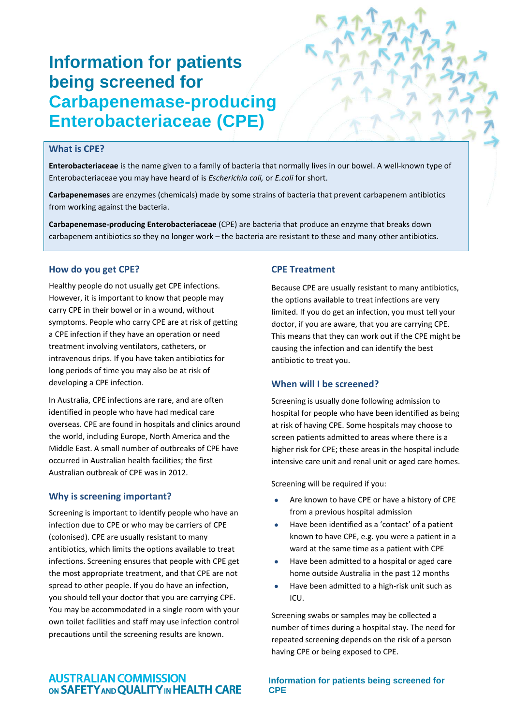# **Information for patients being screened for Carbapenemase-producing Enterobacteriaceae (CPE)**

# **What is CPE?**

Enterobacteriaceae is the name given to a family of bacteria that normally lives in our bowel. A well-known type of Enterobacteriaceae you may have heard of is *Escherichia coli,* or *E.coli* for short.

**Carbapenemases** are enzymes (chemicals) made by some strains of bacteria that prevent carbapenem antibiotics from working against the bacteria.

**Carbapenemase‐producing Enterobacteriaceae** (CPE) are bacteria that produce an enzyme that breaks down carbapenem antibiotics so they no longer work – the bacteria are resistant to these and many other antibiotics.

### **How do you get CPE?**

Healthy people do not usually get CPE infections. However, it is important to know that people may carry CPE in their bowel or in a wound, without symptoms. People who carry CPE are at risk of getting a CPE infection if they have an operation or need treatment involving ventilators, catheters, or intravenous drips. If you have taken antibiotics for long periods of time you may also be at risk of developing a CPE infection.

In Australia, CPE infections are rare, and are often identified in people who have had medical care overseas. CPE are found in hospitals and clinics around the world, including Europe, North America and the Middle East. A small number of outbreaks of CPE have occurred in Australian health facilities; the first Australian outbreak of CPE was in 2012.

#### **Why is screening important?**

Screening is important to identify people who have an infection due to CPE or who may be carriers of CPE (colonised). CPE are usually resistant to many antibiotics, which limits the options available to treat infections. Screening ensures that people with CPE get the most appropriate treatment, and that CPE are not spread to other people. If you do have an infection, you should tell your doctor that you are carrying CPE. You may be accommodated in a single room with your own toilet facilities and staff may use infection control precautions until the screening results are known.

# **CPE Treatment**

Because CPE are usually resistant to many antibiotics, the options available to treat infections are very limited. If you do get an infection, you must tell your doctor, if you are aware, that you are carrying CPE. This means that they can work out if the CPE might be causing the infection and can identify the best antibiotic to treat you.

#### **When will I be screened?**

Screening is usually done following admission to hospital for people who have been identified as being at risk of having CPE. Some hospitals may choose to screen patients admitted to areas where there is a higher risk for CPE; these areas in the hospital include intensive care unit and renal unit or aged care homes.

Screening will be required if you:

- Are known to have CPE or have a history of CPE from a previous hospital admission
- Have been identified as a 'contact' of a patient known to have CPE, e.g. you were a patient in a ward at the same time as a patient with CPE
- Have been admitted to a hospital or aged care home outside Australia in the past 12 months
- Have been admitted to a high‐risk unit such as ICU.

Screening swabs or samples may be collected a number of times during a hospital stay. The need for repeated screening depends on the risk of a person having CPE or being exposed to CPE.

# **AUSTRALIAN COMMISSION** ON SAFETY AND QUALITY IN HEALTH CARE

**Information for patients being screened for CPE**